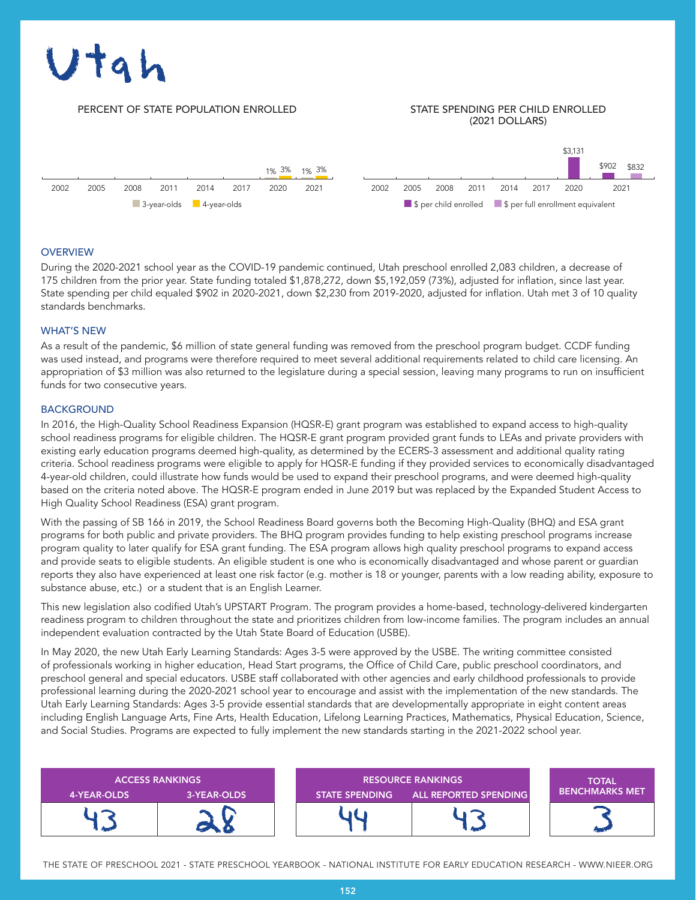# $\overline{\mathbf{a}}$

### PERCENT OF STATE POPULATION ENROLLED STATE SPENDING PER CHILD ENROLLED

## (2021 DOLLARS)



### **OVERVIEW**

During the 2020-2021 school year as the COVID-19 pandemic continued, Utah preschool enrolled 2,083 children, a decrease of 175 children from the prior year. State funding totaled \$1,878,272, down \$5,192,059 (73%), adjusted for inflation, since last year. State spending per child equaled \$902 in 2020-2021, down \$2,230 from 2019-2020, adjusted for inflation. Utah met 3 of 10 quality standards benchmarks.

### WHAT'S NEW

As a result of the pandemic, \$6 million of state general funding was removed from the preschool program budget. CCDF funding was used instead, and programs were therefore required to meet several additional requirements related to child care licensing. An appropriation of \$3 million was also returned to the legislature during a special session, leaving many programs to run on insufficient funds for two consecutive years.

### BACKGROUND

In 2016, the High-Quality School Readiness Expansion (HQSR-E) grant program was established to expand access to high-quality school readiness programs for eligible children. The HQSR-E grant program provided grant funds to LEAs and private providers with existing early education programs deemed high-quality, as determined by the ECERS-3 assessment and additional quality rating criteria. School readiness programs were eligible to apply for HQSR-E funding if they provided services to economically disadvantaged 4-year-old children, could illustrate how funds would be used to expand their preschool programs, and were deemed high-quality based on the criteria noted above. The HQSR-E program ended in June 2019 but was replaced by the Expanded Student Access to High Quality School Readiness (ESA) grant program.

With the passing of SB 166 in 2019, the School Readiness Board governs both the Becoming High-Quality (BHQ) and ESA grant programs for both public and private providers. The BHQ program provides funding to help existing preschool programs increase program quality to later qualify for ESA grant funding. The ESA program allows high quality preschool programs to expand access and provide seats to eligible students. An eligible student is one who is economically disadvantaged and whose parent or guardian reports they also have experienced at least one risk factor (e.g. mother is 18 or younger, parents with a low reading ability, exposure to substance abuse, etc.) or a student that is an English Learner.

This new legislation also codified Utah's UPSTART Program. The program provides a home-based, technology-delivered kindergarten readiness program to children throughout the state and prioritizes children from low-income families. The program includes an annual independent evaluation contracted by the Utah State Board of Education (USBE).

In May 2020, the new Utah Early Learning Standards: Ages 3-5 were approved by the USBE. The writing committee consisted of professionals working in higher education, Head Start programs, the Office of Child Care, public preschool coordinators, and preschool general and special educators. USBE staff collaborated with other agencies and early childhood professionals to provide professional learning during the 2020-2021 school year to encourage and assist with the implementation of the new standards. The Utah Early Learning Standards: Ages 3-5 provide essential standards that are developmentally appropriate in eight content areas including English Language Arts, Fine Arts, Health Education, Lifelong Learning Practices, Mathematics, Physical Education, Science, and Social Studies. Programs are expected to fully implement the new standards starting in the 2021-2022 school year.

| <b>ACCESS RANKINGS</b> |             | <b>RESOURCE RANKINGS</b> |                              | <b>TOTAL</b>          |
|------------------------|-------------|--------------------------|------------------------------|-----------------------|
| 4-YEAR-OLDS            | 3-YEAR-OLDS | <b>STATE SPENDING</b>    | <b>ALL REPORTED SPENDING</b> | <b>BENCHMARKS MET</b> |
|                        |             |                          |                              |                       |

THE STATE OF PRESCHOOL 2021 - STATE PRESCHOOL YEARBOOK - NATIONAL INSTITUTE FOR EARLY EDUCATION RESEARCH - WWW.NIEER.ORG